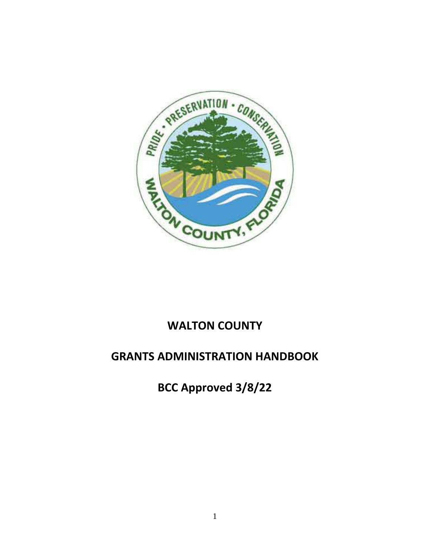

# **WALTON COUNTY**

# **GRANTS ADMINISTRATION HANDBOOK**

**BCC Approved 3/8/22**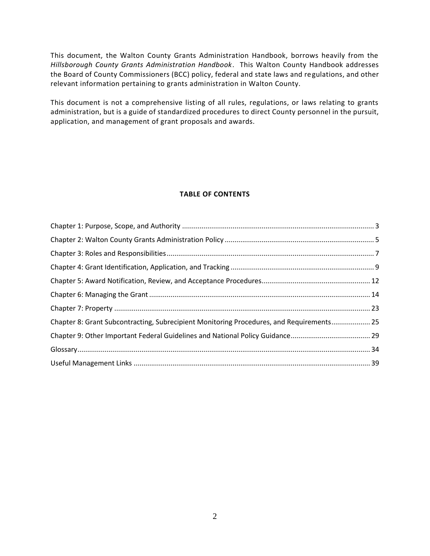This document, the Walton County Grants Administration Handbook, borrows heavily from the *Hillsborough County Grants Administration Handbook*. This Walton County Handbook addresses the Board of County Commissioners (BCC) policy, federal and state laws and regulations, and other relevant information pertaining to grants administration in Walton County.

This document is not a comprehensive listing of all rules, regulations, or laws relating to grants administration, but is a guide of standardized procedures to direct County personnel in the pursuit, application, and management of grant proposals and awards.

#### **TABLE OF CONTENTS**

| Chapter 8: Grant Subcontracting, Subrecipient Monitoring Procedures, and Requirements 25 |  |
|------------------------------------------------------------------------------------------|--|
|                                                                                          |  |
|                                                                                          |  |
|                                                                                          |  |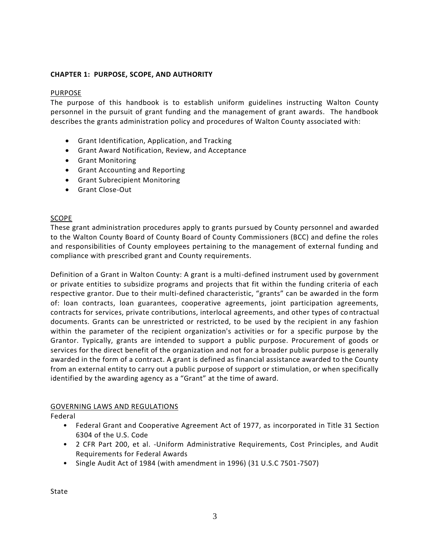# **CHAPTER 1: PURPOSE, SCOPE, AND AUTHORITY**

## PURPOSE

The purpose of this handbook is to establish uniform guidelines instructing Walton County personnel in the pursuit of grant funding and the management of grant awards. The handbook describes the grants administration policy and procedures of Walton County associated with:

- Grant Identification, Application, and Tracking
- Grant Award Notification, Review, and Acceptance
- Grant Monitoring
- Grant Accounting and Reporting
- Grant Subrecipient Monitoring
- Grant Close-Out

# SCOPE

These grant administration procedures apply to grants pursued by County personnel and awarded to the Walton County Board of County Board of County Commissioners (BCC) and define the roles and responsibilities of County employees pertaining to the management of external funding and compliance with prescribed grant and County requirements.

Definition of a Grant in Walton County: A grant is a multi-defined instrument used by government or private entities to subsidize programs and projects that fit within the funding criteria of each respective grantor. Due to their multi-defined characteristic, "grants" can be awarded in the form of: loan contracts, loan guarantees, cooperative agreements, joint participation agreements, contracts for services, private contributions, interlocal agreements, and other types of contractual documents. Grants can be unrestricted or restricted, to be used by the recipient in any fashion within the parameter of the recipient organization's activities or for a specific purpose by the Grantor. Typically, grants are intended to support a public purpose. Procurement of goods or services for the direct benefit of the organization and not for a broader public purpose is generally awarded in the form of a contract. A grant is defined as financial assistance awarded to the County from an external entity to carry out a public purpose of support or stimulation, or when specifically identified by the awarding agency as a "Grant" at the time of award.

## GOVERNING LAWS AND REGULATIONS

Federal

- Federal Grant and Cooperative Agreement Act of 1977, as incorporated in Title 31 Section 6304 of the U.S. Code
- 2 CFR Part 200, et al. -Uniform Administrative Requirements, Cost Principles, and Audit Requirements for Federal Awards
- Single Audit Act of 1984 (with amendment in 1996) (31 U.S.C 7501-7507)

State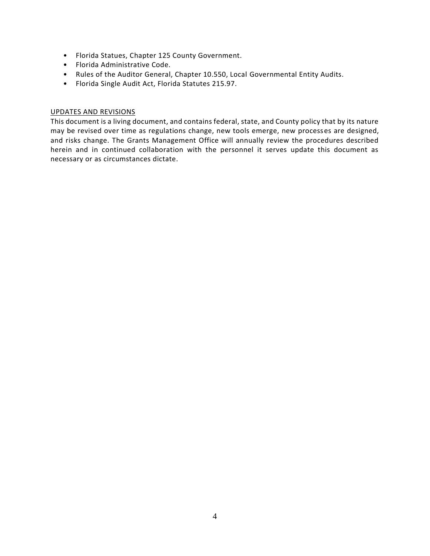- Florida Statues, Chapter 125 County Government.
- Florida Administrative Code.
- Rules of the Auditor General, Chapter 10.550, Local Governmental Entity Audits.
- Florida Single Audit Act, Florida Statutes 215.97.

## UPDATES AND REVISIONS

This document is a living document, and contains federal, state, and County policy that by its nature may be revised over time as regulations change, new tools emerge, new processes are designed, and risks change. The Grants Management Office will annually review the procedures described herein and in continued collaboration with the personnel it serves update this document as necessary or as circumstances dictate.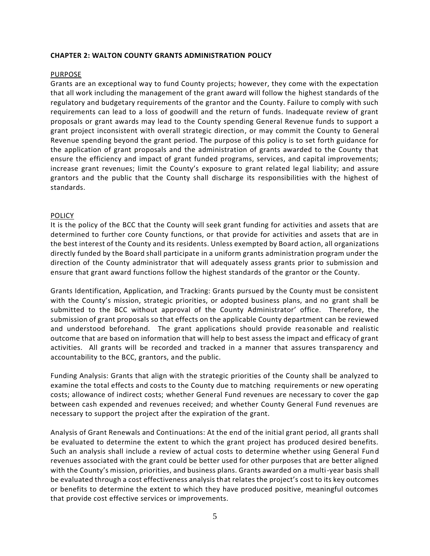#### **CHAPTER 2: WALTON COUNTY GRANTS ADMINISTRATION POLICY**

#### PURPOSE

Grants are an exceptional way to fund County projects; however, they come with the expectation that all work including the management of the grant award will follow the highest standards of the regulatory and budgetary requirements of the grantor and the County. Failure to comply with such requirements can lead to a loss of goodwill and the return of funds. Inadequate review of grant proposals or grant awards may lead to the County spending General Revenue funds to support a grant project inconsistent with overall strategic direction, or may commit the County to General Revenue spending beyond the grant period. The purpose of this policy is to set forth guidance for the application of grant proposals and the administration of grants awarded to the County that ensure the efficiency and impact of grant funded programs, services, and capital improvements; increase grant revenues; limit the County's exposure to grant related legal liability; and assure grantors and the public that the County shall discharge its responsibilities with the highest of standards.

#### POLICY

It is the policy of the BCC that the County will seek grant funding for activities and assets that are determined to further core County functions, or that provide for activities and assets that are in the best interest of the County and its residents. Unless exempted by Board action, all organizations directly funded by the Board shall participate in a uniform grants administration program under the direction of the County administrator that will adequately assess grants prior to submission and ensure that grant award functions follow the highest standards of the grantor or the County.

Grants Identification, Application, and Tracking: Grants pursued by the County must be consistent with the County's mission, strategic priorities, or adopted business plans, and no grant shall be submitted to the BCC without approval of the County Administrator' office. Therefore, the submission of grant proposals so that effects on the applicable County department can be reviewed and understood beforehand. The grant applications should provide reasonable and realistic outcome that are based on information that will help to best assess the impact and efficacy of grant activities. All grants will be recorded and tracked in a manner that assures transparency and accountability to the BCC, grantors, and the public.

Funding Analysis: Grants that align with the strategic priorities of the County shall be analyzed to examine the total effects and costs to the County due to matching requirements or new operating costs; allowance of indirect costs; whether General Fund revenues are necessary to cover the gap between cash expended and revenues received; and whether County General Fund revenues are necessary to support the project after the expiration of the grant.

Analysis of Grant Renewals and Continuations: At the end of the initial grant period, all grants shall be evaluated to determine the extent to which the grant project has produced desired benefits. Such an analysis shall include a review of actual costs to determine whether using General Fund revenues associated with the grant could be better used for other purposes that are better aligned with the County's mission, priorities, and business plans. Grants awarded on a multi-year basis shall be evaluated through a cost effectiveness analysis that relates the project's cost to its key outcomes or benefits to determine the extent to which they have produced positive, meaningful outcomes that provide cost effective services or improvements.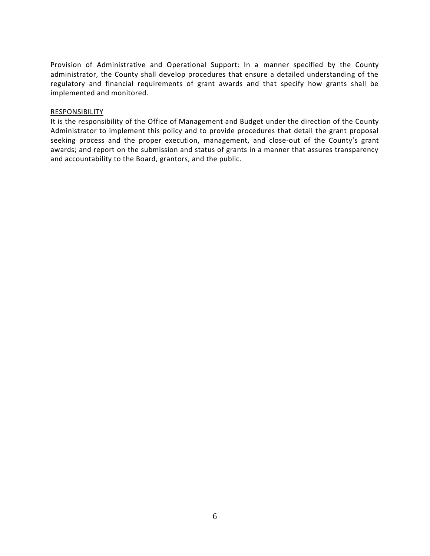Provision of Administrative and Operational Support: In a manner specified by the County administrator, the County shall develop procedures that ensure a detailed understanding of the regulatory and financial requirements of grant awards and that specify how grants shall be implemented and monitored.

#### RESPONSIBILITY

It is the responsibility of the Office of Management and Budget under the direction of the County Administrator to implement this policy and to provide procedures that detail the grant proposal seeking process and the proper execution, management, and close-out of the County's grant awards; and report on the submission and status of grants in a manner that assures transparency and accountability to the Board, grantors, and the public.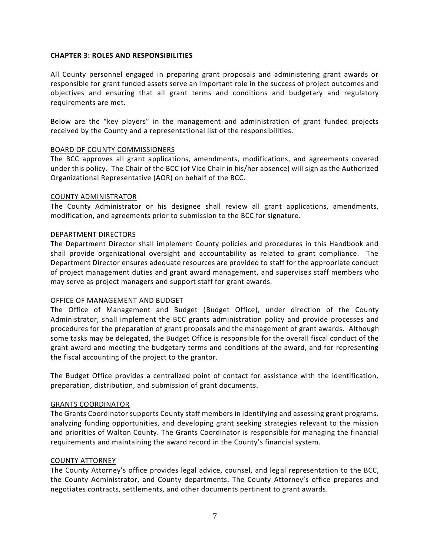## **CHAPTER 3: ROLES AND RESPONSIBILITIES**

All County personnel engaged in preparing grant proposals and administering grant awards or responsible for grant funded assets serve an important role in the success of project outcomes and objectives and ensuring that all grant terms and conditions and budgetary and regulatory requirements are met.

Below are the "key players" in the management and administration of grant funded projects received by the County and a representational list of the responsibilities.

#### BOARD OF COUNTY COMMISSIONERS

The BCC approves all grant applications, amendments, modifications, and agreements covered under this policy. The Chair of the BCC (of Vice Chair in his/her absence) will sign as the Authorized Organizational Representative (AOR) on behalf of the BCC.

#### COUNTY ADMINISTRATOR

The County Administrator or his designee shall review all grant applications, amendments, modification, and agreements prior to submission to the BCC for signature.

#### DEPARTMENT DIRECTORS

The Department Director shall implement County policies and procedures in this Handbook and shall provide organizational oversight and accountability as related to grant compliance. The Department Director ensures adequate resources are provided to staff for the appropriate conduct of project management duties and grant award management, and supervises staff members who may serve as project managers and support staff for grant awards.

#### OFFICE OF MANAGEMENT AND BUDGET

The Office of Management and Budget (Budget Office), under direction of the County Administrator, shall implement the BCC grants administration policy and provide processes and procedures for the preparation of grant proposals and the management of grant awards. Although some tasks may be delegated, the Budget Office is responsible for the overall fiscal conduct of the grant award and meeting the budgetary terms and conditions of the award, and for representing the fiscal accounting of the project to the grantor.

The Budget Office provides a centralized point of contact for assistance with the identification, preparation, distribution, and submission of grant documents.

#### GRANTS COORDINATOR

The Grants Coordinator supports County staff members in identifying and assessing grant programs, analyzing funding opportunities, and developing grant seeking strategies relevant to the mission and priorities of Walton County. The Grants Coordinator is responsible for managing the financial requirements and maintaining the award record in the County's financial system.

#### COUNTY ATTORNEY

The County Attorney's office provides legal advice, counsel, and legal representation to the BCC, the County Administrator, and County departments. The County Attorney's office prepares and negotiates contracts, settlements, and other documents pertinent to grant awards.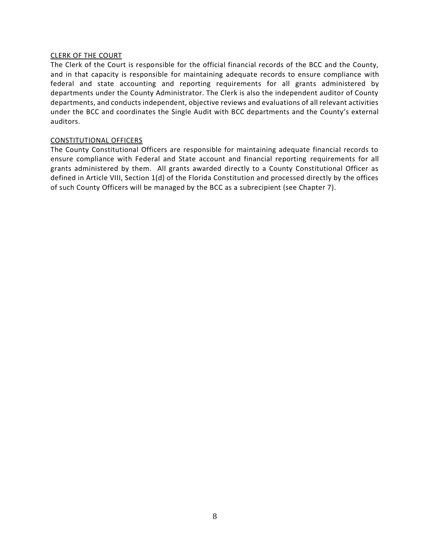#### CLERK OF THE COURT

The Clerk of the Court is responsible for the official financial records of the BCC and the County, and in that capacity is responsible for maintaining adequate records to ensure compliance with federal and state accounting and reporting requirements for all grants administered by departments under the County Administrator. The Clerk is also the independent auditor of County departments, and conducts independent, objective reviews and evaluations of all relevant activities under the BCC and coordinates the Single Audit with BCC departments and the County's external auditors.

#### CONSTITUTIONAL OFFICERS

The County Constitutional Officers are responsible for maintaining adequate financial records to ensure compliance with Federal and State account and financial reporting requirements for all grants administered by them. All grants awarded directly to a County Constitutional Officer as defined in Article VIII, Section 1(d) of the Florida Constitution and processed directly by the offices of such County Officers will be managed by the BCC as a subrecipient (see Chapter 7).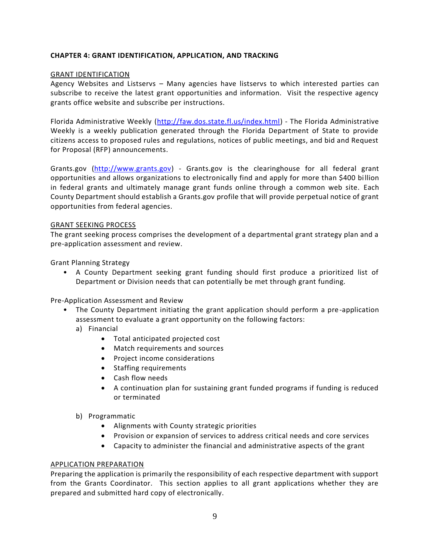# **CHAPTER 4: GRANT IDENTIFICATION, APPLICATION, AND TRACKING**

## GRANT IDENTIFICATION

Agency Websites and Listservs – Many agencies have listservs to which interested parties can subscribe to receive the latest grant opportunities and information. Visit the respective agency grants office website and subscribe per instructions.

Florida Administrative Weekly [\(http://faw.dos.state.fl.us/index.html\)](http://faw.dos.state.fl.us/index.html) - The Florida Administrative Weekly is a weekly publication generated through the Florida Department of State to provide citizens access to proposed rules and regulations, notices of public meetings, and bid and Request for Proposal (RFP) announcements.

Grants.gov [\(http://www.grants.gov\)](http://www.grants.gov/) - Grants.gov is the clearinghouse for all federal grant opportunities and allows organizations to electronically find and apply for more than \$400 bi llion in federal grants and ultimately manage grant funds online through a common web site. Each County Department should establish a Grants.gov profile that will provide perpetual notice of grant opportunities from federal agencies.

#### GRANT SEEKING PROCESS

The grant seeking process comprises the development of a departmental grant strategy plan and a pre-application assessment and review.

Grant Planning Strategy

• A County Department seeking grant funding should first produce a prioritized list of Department or Division needs that can potentially be met through grant funding.

Pre-Application Assessment and Review

- The County Department initiating the grant application should perform a pre-application assessment to evaluate a grant opportunity on the following factors:
	- a) Financial
		- Total anticipated projected cost
		- Match requirements and sources
		- Project income considerations
		- Staffing requirements
		- Cash flow needs
		- A continuation plan for sustaining grant funded programs if funding is reduced or terminated
	- b) Programmatic
		- Alignments with County strategic priorities
		- Provision or expansion of services to address critical needs and core services
		- Capacity to administer the financial and administrative aspects of the grant

## APPLICATION PREPARATION

Preparing the application is primarily the responsibility of each respective department with support from the Grants Coordinator. This section applies to all grant applications whether they are prepared and submitted hard copy of electronically.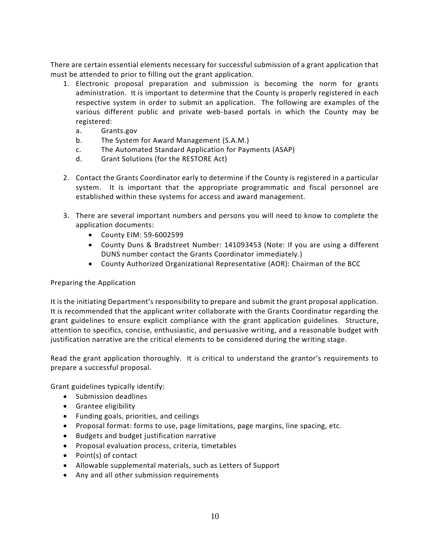There are certain essential elements necessary for successful submission of a grant application that must be attended to prior to filling out the grant application.

- 1. Electronic proposal preparation and submission is becoming the norm for grants administration. It is important to determine that the County is properly registered in each respective system in order to submit an application. The following are examples of the various different public and private web-based portals in which the County may be registered:
	- a. Grants.gov
	- b. The System for Award Management (S.A.M.)
	- c. The Automated Standard Application for Payments (ASAP)
	- d. Grant Solutions (for the RESTORE Act)
- 2. Contact the Grants Coordinator early to determine if the County is registered in a particular system. It is important that the appropriate programmatic and fiscal personnel are established within these systems for access and award management.
- 3. There are several important numbers and persons you will need to know to complete the application documents:
	- County EIM: 59-6002599
	- County Duns & Bradstreet Number: 141093453 (Note: If you are using a different DUNS number contact the Grants Coordinator immediately.)
	- County Authorized Organizational Representative (AOR): Chairman of the BCC

## Preparing the Application

It is the initiating Department's responsibility to prepare and submit the grant proposal application. It is recommended that the applicant writer collaborate with the Grants Coordinator regarding the grant guidelines to ensure explicit compliance with the grant application guidelines. Structure, attention to specifics, concise, enthusiastic, and persuasive writing, and a reasonable budget with justification narrative are the critical elements to be considered during the writing stage.

Read the grant application thoroughly. It is critical to understand the grantor's requirements to prepare a successful proposal.

Grant guidelines typically identify:

- Submission deadlines
- Grantee eligibility
- Funding goals, priorities, and ceilings
- Proposal format: forms to use, page limitations, page margins, line spacing, etc.
- Budgets and budget justification narrative
- Proposal evaluation process, criteria, timetables
- Point(s) of contact
- Allowable supplemental materials, such as Letters of Support
- Any and all other submission requirements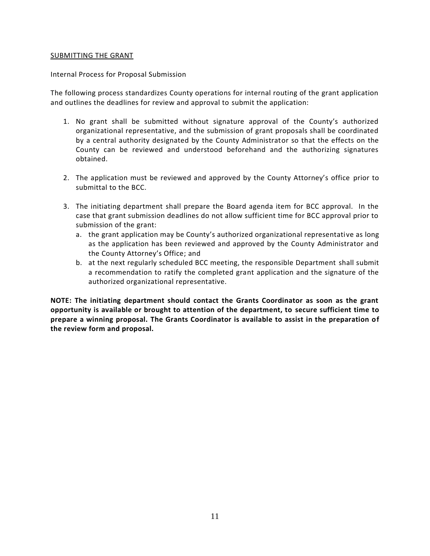#### SUBMITTING THE GRANT

#### Internal Process for Proposal Submission

The following process standardizes County operations for internal routing of the grant application and outlines the deadlines for review and approval to submit the application:

- 1. No grant shall be submitted without signature approval of the County's authorized organizational representative, and the submission of grant proposals shall be coordinated by a central authority designated by the County Administrator so that the effects on the County can be reviewed and understood beforehand and the authorizing signatures obtained.
- 2. The application must be reviewed and approved by the County Attorney's office prior to submittal to the BCC.
- 3. The initiating department shall prepare the Board agenda item for BCC approval. In the case that grant submission deadlines do not allow sufficient time for BCC approval prior to submission of the grant:
	- a. the grant application may be County's authorized organizational representative as long as the application has been reviewed and approved by the County Administrator and the County Attorney's Office; and
	- b. at the next regularly scheduled BCC meeting, the responsible Department shall submit a recommendation to ratify the completed grant application and the signature of the authorized organizational representative.

**NOTE: The initiating department should contact the Grants Coordinator as soon as the grant opportunity is available or brought to attention of the department, to secure sufficient time to prepare a winning proposal. The Grants Coordinator is available to assist in the preparation of the review form and proposal.**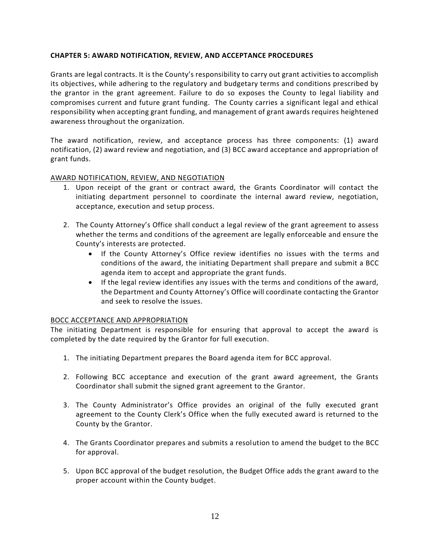## **CHAPTER 5: AWARD NOTIFICATION, REVIEW, AND ACCEPTANCE PROCEDURES**

Grants are legal contracts. It is the County's responsibility to carry out grant activities to accomplish its objectives, while adhering to the regulatory and budgetary terms and conditions prescribed by the grantor in the grant agreement. Failure to do so exposes the County to legal liability and compromises current and future grant funding. The County carries a significant legal and ethical responsibility when accepting grant funding, and management of grant awards requires heightened awareness throughout the organization.

The award notification, review, and acceptance process has three components: (1) award notification, (2) award review and negotiation, and (3) BCC award acceptance and appropriation of grant funds.

## AWARD NOTIFICATION, REVIEW, AND NEGOTIATION

- 1. Upon receipt of the grant or contract award, the Grants Coordinator will contact the initiating department personnel to coordinate the internal award review, negotiation, acceptance, execution and setup process.
- 2. The County Attorney's Office shall conduct a legal review of the grant agreement to assess whether the terms and conditions of the agreement are legally enforceable and ensure the County's interests are protected.
	- If the County Attorney's Office review identifies no issues with the terms and conditions of the award, the initiating Department shall prepare and submit a BCC agenda item to accept and appropriate the grant funds.
	- If the legal review identifies any issues with the terms and conditions of the award, the Department and County Attorney's Office will coordinate contacting the Grantor and seek to resolve the issues.

## BOCC ACCEPTANCE AND APPROPRIATION

The initiating Department is responsible for ensuring that approval to accept the award is completed by the date required by the Grantor for full execution.

- 1. The initiating Department prepares the Board agenda item for BCC approval.
- 2. Following BCC acceptance and execution of the grant award agreement, the Grants Coordinator shall submit the signed grant agreement to the Grantor.
- 3. The County Administrator's Office provides an original of the fully executed grant agreement to the County Clerk's Office when the fully executed award is returned to the County by the Grantor.
- 4. The Grants Coordinator prepares and submits a resolution to amend the budget to the BCC for approval.
- 5. Upon BCC approval of the budget resolution, the Budget Office adds the grant award to the proper account within the County budget.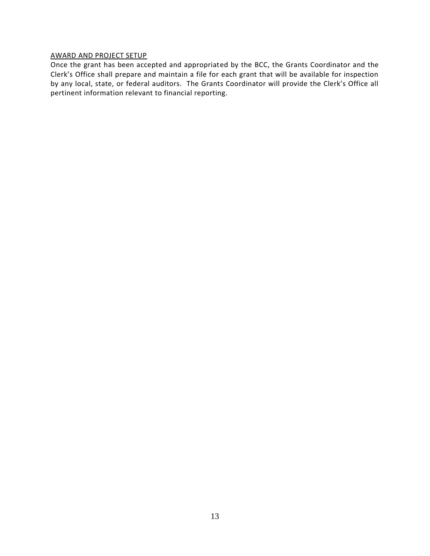## AWARD AND PROJECT SETUP

Once the grant has been accepted and appropriated by the BCC, the Grants Coordinator and the Clerk's Office shall prepare and maintain a file for each grant that will be available for inspection by any local, state, or federal auditors. The Grants Coordinator will provide the Clerk's Office all pertinent information relevant to financial reporting.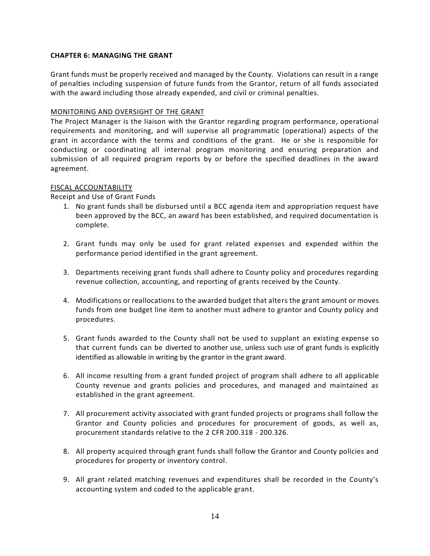## **CHAPTER 6: MANAGING THE GRANT**

Grant funds must be properly received and managed by the County. Violations can result in a range of penalties including suspension of future funds from the Grantor, return of all funds associated with the award including those already expended, and civil or criminal penalties.

# MONITORING AND OVERSIGHT OF THE GRANT

The Project Manager is the liaison with the Grantor regarding program performance, operational requirements and monitoring, and will supervise all programmatic (operational) aspects of the grant in accordance with the terms and conditions of the grant. He or she is responsible for conducting or coordinating all internal program monitoring and ensuring preparation and submission of all required program reports by or before the specified deadlines in the award agreement.

## FISCAL ACCOUNTABILITY

# Receipt and Use of Grant Funds

- 1. No grant funds shall be disbursed until a BCC agenda item and appropriation request have been approved by the BCC, an award has been established, and required documentation is complete.
- 2. Grant funds may only be used for grant related expenses and expended within the performance period identified in the grant agreement.
- 3. Departments receiving grant funds shall adhere to County policy and procedures regarding revenue collection, accounting, and reporting of grants received by the County.
- 4. Modifications or reallocations to the awarded budget that alters the grant amount or moves funds from one budget line item to another must adhere to grantor and County policy and procedures.
- 5. Grant funds awarded to the County shall not be used to supplant an existing expense so that current funds can be diverted to another use, unless such use of grant funds is explicitly identified as allowable in writing by the grantor in the grant award.
- 6. All income resulting from a grant funded project of program shall adhere to all applicable County revenue and grants policies and procedures, and managed and maintained as established in the grant agreement.
- 7. All procurement activity associated with grant funded projects or programs shall follow the Grantor and County policies and procedures for procurement of goods, as well as, procurement standards relative to the 2 CFR 200.318 - 200.326.
- 8. All property acquired through grant funds shall follow the Grantor and County policies and procedures for property or inventory control.
- 9. All grant related matching revenues and expenditures shall be recorded in the County's accounting system and coded to the applicable grant.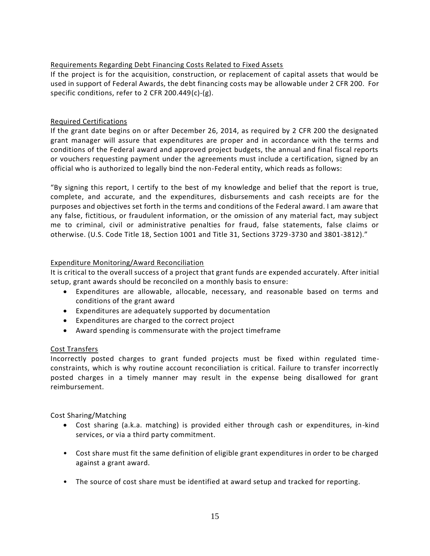# Requirements Regarding Debt Financing Costs Related to Fixed Assets

If the project is for the acquisition, construction, or replacement of capital assets that would be used in support of Federal Awards, the debt financing costs may be allowable under 2 CFR 200. For specific conditions, refer to 2 CFR 200.449(c)-(g).

# Required Certifications

If the grant date begins on or after December 26, 2014, as required by 2 CFR 200 the designated grant manager will assure that expenditures are proper and in accordance with the terms and conditions of the Federal award and approved project budgets, the annual and final fiscal reports or vouchers requesting payment under the agreements must include a certification, signed by an official who is authorized to legally bind the non-Federal entity, which reads as follows:

"By signing this report, I certify to the best of my knowledge and belief that the report is true, complete, and accurate, and the expenditures, disbursements and cash receipts are for the purposes and objectives set forth in the terms and conditions of the Federal award. I am aware that any false, fictitious, or fraudulent information, or the omission of any material fact, may subject me to criminal, civil or administrative penalties for fraud, false statements, false claims or otherwise. (U.S. Code Title 18, Section 1001 and Title 31, Sections 3729-3730 and 3801-3812)."

# Expenditure Monitoring/Award Reconciliation

It is critical to the overall success of a project that grant funds are expended accurately. After initial setup, grant awards should be reconciled on a monthly basis to ensure:

- Expenditures are allowable, allocable, necessary, and reasonable based on terms and conditions of the grant award
- Expenditures are adequately supported by documentation
- Expenditures are charged to the correct project
- Award spending is commensurate with the project timeframe

## Cost Transfers

Incorrectly posted charges to grant funded projects must be fixed within regulated timeconstraints, which is why routine account reconciliation is critical. Failure to transfer incorrectly posted charges in a timely manner may result in the expense being disallowed for grant reimbursement.

Cost Sharing/Matching

- Cost sharing (a.k.a. matching) is provided either through cash or expenditures, in-kind services, or via a third party commitment.
- Cost share must fit the same definition of eligible grant expenditures in order to be charged against a grant award.
- The source of cost share must be identified at award setup and tracked for reporting.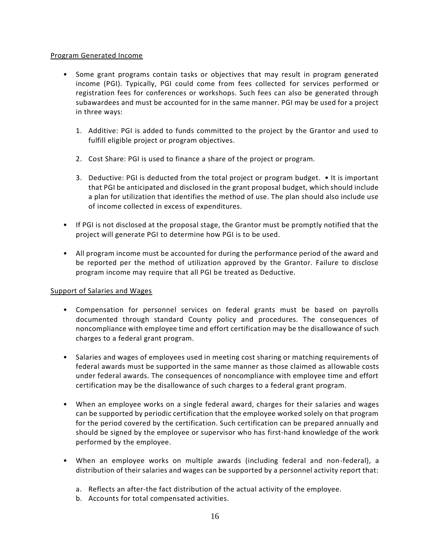## Program Generated Income

- Some grant programs contain tasks or objectives that may result in program generated income (PGI). Typically, PGI could come from fees collected for services performed or registration fees for conferences or workshops. Such fees can also be generated through subawardees and must be accounted for in the same manner. PGI may be used for a project in three ways:
	- 1. Additive: PGI is added to funds committed to the project by the Grantor and used to fulfill eligible project or program objectives.
	- 2. Cost Share: PGI is used to finance a share of the project or program.
	- 3. Deductive: PGI is deducted from the total project or program budget. It is important that PGI be anticipated and disclosed in the grant proposal budget, which should include a plan for utilization that identifies the method of use. The plan should also include use of income collected in excess of expenditures.
- If PGI is not disclosed at the proposal stage, the Grantor must be promptly notified that the project will generate PGI to determine how PGI is to be used.
- All program income must be accounted for during the performance period of the award and be reported per the method of utilization approved by the Grantor. Failure to disclose program income may require that all PGI be treated as Deductive.

## Support of Salaries and Wages

- Compensation for personnel services on federal grants must be based on payrolls documented through standard County policy and procedures. The consequences of noncompliance with employee time and effort certification may be the disallowance of such charges to a federal grant program.
- Salaries and wages of employees used in meeting cost sharing or matching requirements of federal awards must be supported in the same manner as those claimed as allowable costs under federal awards. The consequences of noncompliance with employee time and effort certification may be the disallowance of such charges to a federal grant program.
- When an employee works on a single federal award, charges for their salaries and wages can be supported by periodic certification that the employee worked solely on that program for the period covered by the certification. Such certification can be prepared annually and should be signed by the employee or supervisor who has first-hand knowledge of the work performed by the employee.
- When an employee works on multiple awards (including federal and non-federal), a distribution of their salaries and wages can be supported by a personnel activity report that:
	- a. Reflects an after-the fact distribution of the actual activity of the employee.
	- b. Accounts for total compensated activities.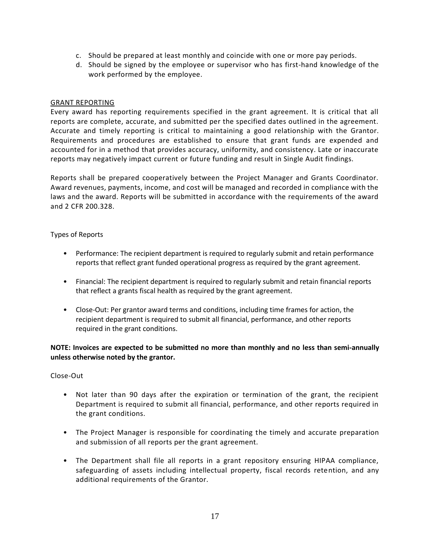- c. Should be prepared at least monthly and coincide with one or more pay periods.
- d. Should be signed by the employee or supervisor who has first-hand knowledge of the work performed by the employee.

## GRANT REPORTING

Every award has reporting requirements specified in the grant agreement. It is critical that all reports are complete, accurate, and submitted per the specified dates outlined in the agreement. Accurate and timely reporting is critical to maintaining a good relationship with the Grantor. Requirements and procedures are established to ensure that grant funds are expended and accounted for in a method that provides accuracy, uniformity, and consistency. Late or inaccurate reports may negatively impact current or future funding and result in Single Audit findings.

Reports shall be prepared cooperatively between the Project Manager and Grants Coordinator. Award revenues, payments, income, and cost will be managed and recorded in compliance with the laws and the award. Reports will be submitted in accordance with the requirements of the award and 2 CFR 200.328.

#### Types of Reports

- Performance: The recipient department is required to regularly submit and retain performance reports that reflect grant funded operational progress as required by the grant agreement.
- Financial: The recipient department is required to regularly submit and retain financial reports that reflect a grants fiscal health as required by the grant agreement.
- Close-Out: Per grantor award terms and conditions, including time frames for action, the recipient department is required to submit all financial, performance, and other reports required in the grant conditions.

# **NOTE: Invoices are expected to be submitted no more than monthly and no less than semi-annually unless otherwise noted by the grantor.**

## Close-Out

- Not later than 90 days after the expiration or termination of the grant, the recipient Department is required to submit all financial, performance, and other reports required in the grant conditions.
- The Project Manager is responsible for coordinating the timely and accurate preparation and submission of all reports per the grant agreement.
- The Department shall file all reports in a grant repository ensuring HIPAA compliance, safeguarding of assets including intellectual property, fiscal records retention, and any additional requirements of the Grantor.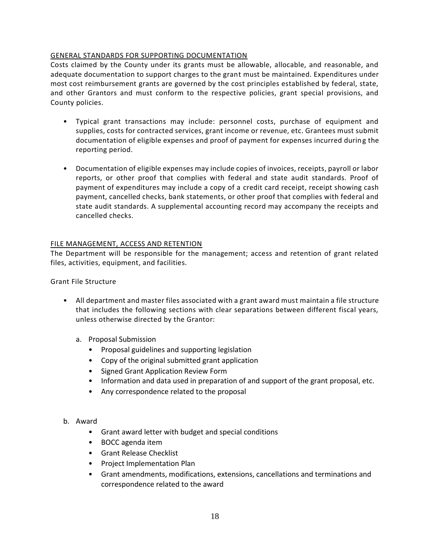# GENERAL STANDARDS FOR SUPPORTING DOCUMENTATION

Costs claimed by the County under its grants must be allowable, allocable, and reasonable, and adequate documentation to support charges to the grant must be maintained. Expenditures under most cost reimbursement grants are governed by the cost principles established by federal, state, and other Grantors and must conform to the respective policies, grant special provisions, and County policies.

- Typical grant transactions may include: personnel costs, purchase of equipment and supplies, costs for contracted services, grant income or revenue, etc. Grantees must submit documentation of eligible expenses and proof of payment for expenses incurred during the reporting period.
- Documentation of eligible expenses may include copies of invoices, receipts, payroll or labor reports, or other proof that complies with federal and state audit standards. Proof of payment of expenditures may include a copy of a credit card receipt, receipt showing cash payment, cancelled checks, bank statements, or other proof that complies with federal and state audit standards. A supplemental accounting record may accompany the receipts and cancelled checks.

# FILE MANAGEMENT, ACCESS AND RETENTION

The Department will be responsible for the management; access and retention of grant related files, activities, equipment, and facilities.

Grant File Structure

- All department and master files associated with a grant award must maintain a file structure that includes the following sections with clear separations between different fiscal years, unless otherwise directed by the Grantor:
	- a. Proposal Submission
		- Proposal guidelines and supporting legislation
		- Copy of the original submitted grant application
		- Signed Grant Application Review Form
		- Information and data used in preparation of and support of the grant proposal, etc.
		- Any correspondence related to the proposal

## b. Award

- Grant award letter with budget and special conditions
- BOCC agenda item
- Grant Release Checklist
- Project Implementation Plan
- Grant amendments, modifications, extensions, cancellations and terminations and correspondence related to the award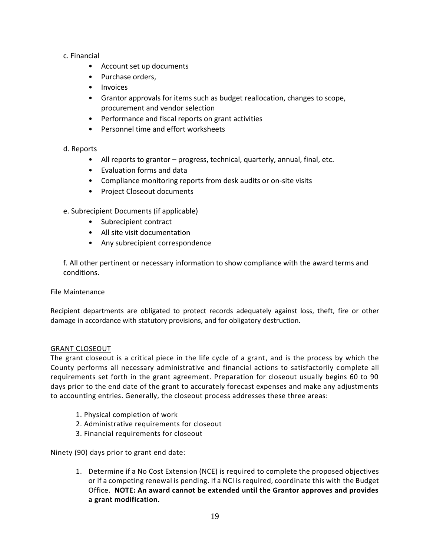# c. Financial

- Account set up documents
- Purchase orders,
- Invoices
- Grantor approvals for items such as budget reallocation, changes to scope, procurement and vendor selection
- Performance and fiscal reports on grant activities
- Personnel time and effort worksheets

# d. Reports

- All reports to grantor progress, technical, quarterly, annual, final, etc.
- Evaluation forms and data
- Compliance monitoring reports from desk audits or on-site visits
- Project Closeout documents
- e. Subrecipient Documents (if applicable)
	- Subrecipient contract
	- All site visit documentation
	- Any subrecipient correspondence

f. All other pertinent or necessary information to show compliance with the award terms and conditions.

File Maintenance

Recipient departments are obligated to protect records adequately against loss, theft, fire or other damage in accordance with statutory provisions, and for obligatory destruction.

## GRANT CLOSEOUT

The grant closeout is a critical piece in the life cycle of a grant, and is the process by which the County performs all necessary administrative and financial actions to satisfactorily complete all requirements set forth in the grant agreement. Preparation for closeout usually begins 60 to 90 days prior to the end date of the grant to accurately forecast expenses and make any adjustments to accounting entries. Generally, the closeout process addresses these three areas:

- 1. Physical completion of work
- 2. Administrative requirements for closeout
- 3. Financial requirements for closeout

Ninety (90) days prior to grant end date:

1. Determine if a No Cost Extension (NCE) is required to complete the proposed objectives or if a competing renewal is pending. If a NCI is required, coordinate this with the Budget Office. **NOTE: An award cannot be extended until the Grantor approves and provides a grant modification.**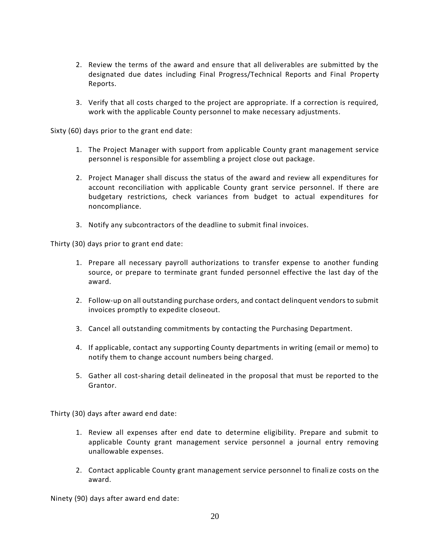- 2. Review the terms of the award and ensure that all deliverables are submitted by the designated due dates including Final Progress/Technical Reports and Final Property Reports.
- 3. Verify that all costs charged to the project are appropriate. If a correction is required, work with the applicable County personnel to make necessary adjustments.

Sixty (60) days prior to the grant end date:

- 1. The Project Manager with support from applicable County grant management service personnel is responsible for assembling a project close out package.
- 2. Project Manager shall discuss the status of the award and review all expenditures for account reconciliation with applicable County grant service personnel. If there are budgetary restrictions, check variances from budget to actual expenditures for noncompliance.
- 3. Notify any subcontractors of the deadline to submit final invoices.

Thirty (30) days prior to grant end date:

- 1. Prepare all necessary payroll authorizations to transfer expense to another funding source, or prepare to terminate grant funded personnel effective the last day of the award.
- 2. Follow-up on all outstanding purchase orders, and contact delinquent vendors to submit invoices promptly to expedite closeout.
- 3. Cancel all outstanding commitments by contacting the Purchasing Department.
- 4. If applicable, contact any supporting County departments in writing (email or memo) to notify them to change account numbers being charged.
- 5. Gather all cost-sharing detail delineated in the proposal that must be reported to the Grantor.

Thirty (30) days after award end date:

- 1. Review all expenses after end date to determine eligibility. Prepare and submit to applicable County grant management service personnel a journal entry removing unallowable expenses.
- 2. Contact applicable County grant management service personnel to finalize costs on the award.

Ninety (90) days after award end date: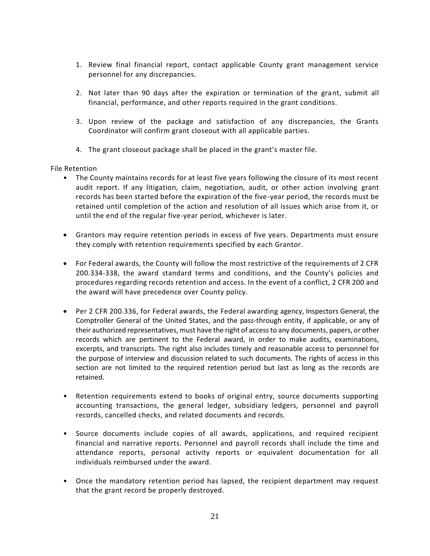- 1. Review final financial report, contact applicable County grant management service personnel for any discrepancies.
- 2. Not later than 90 days after the expiration or termination of the grant, submit all financial, performance, and other reports required in the grant conditions.
- 3. Upon review of the package and satisfaction of any discrepancies, the Grants Coordinator will confirm grant closeout with all applicable parties.
- 4. The grant closeout package shall be placed in the grant's master file.

File Retention

- The County maintains records for at least five years following the closure of its most recent audit report. If any litigation, claim, negotiation, audit, or other action involving grant records has been started before the expiration of the five-year period, the records must be retained until completion of the action and resolution of all issues which arise from it, or until the end of the regular five-year period, whichever is later.
- Grantors may require retention periods in excess of five years. Departments must ensure they comply with retention requirements specified by each Grantor.
- For Federal awards, the County will follow the most restrictive of the requirements of 2 CFR 200.334-338, the award standard terms and conditions, and the County's policies and procedures regarding records retention and access. In the event of a conflict, 2 CFR 200 and the award will have precedence over County policy.
- Per 2 CFR 200.336, for Federal awards, the Federal awarding agency, Inspectors General, the Comptroller General of the United States, and the pass-through entity, if applicable, or any of their authorized representatives, must have the right of access to any documents, papers, or other records which are pertinent to the Federal award, in order to make audits, examinations, excerpts, and transcripts. The right also includes timely and reasonable access to personnel for the purpose of interview and discussion related to such documents. The rights of access in this section are not limited to the required retention period but last as long as the records are retained.
- Retention requirements extend to books of original entry, source documents supporting accounting transactions, the general ledger, subsidiary ledgers, personnel and payroll records, cancelled checks, and related documents and records.
- Source documents include copies of all awards, applications, and required recipient financial and narrative reports. Personnel and payroll records shall include the time and attendance reports, personal activity reports or equivalent documentation for all individuals reimbursed under the award.
- Once the mandatory retention period has lapsed, the recipient department may request that the grant record be properly destroyed.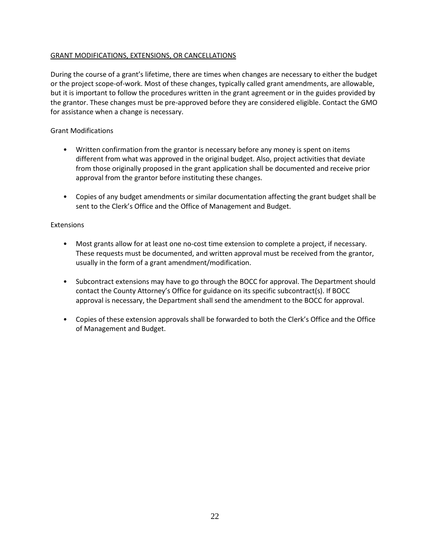# GRANT MODIFICATIONS, EXTENSIONS, OR CANCELLATIONS

During the course of a grant's lifetime, there are times when changes are necessary to either the budget or the project scope-of-work. Most of these changes, typically called grant amendments, are allowable, but it is important to follow the procedures written in the grant agreement or in the guides provided by the grantor. These changes must be pre-approved before they are considered eligible. Contact the GMO for assistance when a change is necessary.

## Grant Modifications

- Written confirmation from the grantor is necessary before any money is spent on items different from what was approved in the original budget. Also, project activities that deviate from those originally proposed in the grant application shall be documented and receive prior approval from the grantor before instituting these changes.
- Copies of any budget amendments or similar documentation affecting the grant budget shall be sent to the Clerk's Office and the Office of Management and Budget.

#### Extensions

- Most grants allow for at least one no-cost time extension to complete a project, if necessary. These requests must be documented, and written approval must be received from the grantor, usually in the form of a grant amendment/modification.
- Subcontract extensions may have to go through the BOCC for approval. The Department should contact the County Attorney's Office for guidance on its specific subcontract(s). If BOCC approval is necessary, the Department shall send the amendment to the BOCC for approval.
- Copies of these extension approvals shall be forwarded to both the Clerk's Office and the Office of Management and Budget.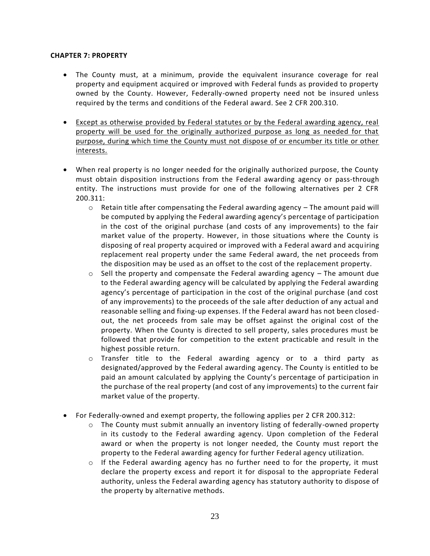#### **CHAPTER 7: PROPERTY**

- The County must, at a minimum, provide the equivalent insurance coverage for real property and equipment acquired or improved with Federal funds as provided to property owned by the County. However, Federally-owned property need not be insured unless required by the terms and conditions of the Federal award. See 2 CFR 200.310.
- Except as otherwise provided by Federal statutes or by the Federal awarding agency, real property will be used for the originally authorized purpose as long as needed for that purpose, during which time the County must not dispose of or encumber its title or other interests.
- When real property is no longer needed for the originally authorized purpose, the County must obtain disposition instructions from the Federal awarding agency or pass-through entity. The instructions must provide for one of the following alternatives per 2 CFR 200.311:
	- $\circ$  Retain title after compensating the Federal awarding agency  $-$  The amount paid will be computed by applying the Federal awarding agency's percentage of participation in the cost of the original purchase (and costs of any improvements) to the fair market value of the property. However, in those situations where the County is disposing of real property acquired or improved with a Federal award and acquiring replacement real property under the same Federal award, the net proceeds from the disposition may be used as an offset to the cost of the replacement property.
	- $\circ$  Sell the property and compensate the Federal awarding agency The amount due to the Federal awarding agency will be calculated by applying the Federal awarding agency's percentage of participation in the cost of the original purchase (and cost of any improvements) to the proceeds of the sale after deduction of any actual and reasonable selling and fixing-up expenses. If the Federal award has not been closedout, the net proceeds from sale may be offset against the original cost of the property. When the County is directed to sell property, sales procedures must be followed that provide for competition to the extent practicable and result in the highest possible return.
	- o Transfer title to the Federal awarding agency or to a third party as designated/approved by the Federal awarding agency. The County is entitled to be paid an amount calculated by applying the County's percentage of participation in the purchase of the real property (and cost of any improvements) to the current fair market value of the property.
- For Federally-owned and exempt property, the following applies per 2 CFR 200.312:
	- $\circ$  The County must submit annually an inventory listing of federally-owned property in its custody to the Federal awarding agency. Upon completion of the Federal award or when the property is not longer needed, the County must report the property to the Federal awarding agency for further Federal agency utilization.
	- $\circ$  If the Federal awarding agency has no further need to for the property, it must declare the property excess and report it for disposal to the appropriate Federal authority, unless the Federal awarding agency has statutory authority to dispose of the property by alternative methods.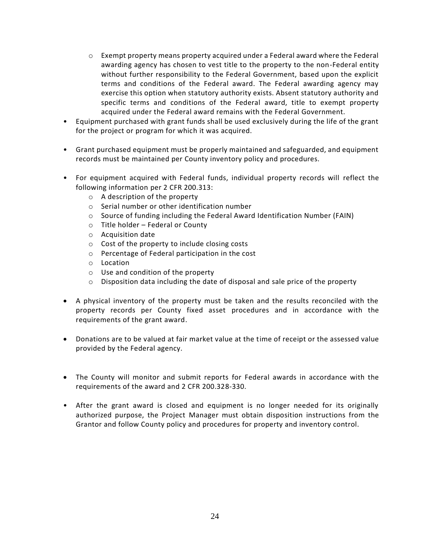- $\circ$  Exempt property means property acquired under a Federal award where the Federal awarding agency has chosen to vest title to the property to the non-Federal entity without further responsibility to the Federal Government, based upon the explicit terms and conditions of the Federal award. The Federal awarding agency may exercise this option when statutory authority exists. Absent statutory authority and specific terms and conditions of the Federal award, title to exempt property acquired under the Federal award remains with the Federal Government.
- Equipment purchased with grant funds shall be used exclusively during the life of the grant for the project or program for which it was acquired.
- Grant purchased equipment must be properly maintained and safeguarded, and equipment records must be maintained per County inventory policy and procedures.
- For equipment acquired with Federal funds, individual property records will reflect the following information per 2 CFR 200.313:
	- o A description of the property
	- o Serial number or other identification number
	- $\circ$  Source of funding including the Federal Award Identification Number (FAIN)
	- o Title holder Federal or County
	- o Acquisition date
	- o Cost of the property to include closing costs
	- o Percentage of Federal participation in the cost
	- o Location
	- o Use and condition of the property
	- $\circ$  Disposition data including the date of disposal and sale price of the property
- A physical inventory of the property must be taken and the results reconciled with the property records per County fixed asset procedures and in accordance with the requirements of the grant award.
- Donations are to be valued at fair market value at the time of receipt or the assessed value provided by the Federal agency.
- The County will monitor and submit reports for Federal awards in accordance with the requirements of the award and 2 CFR 200.328-330.
- After the grant award is closed and equipment is no longer needed for its originally authorized purpose, the Project Manager must obtain disposition instructions from the Grantor and follow County policy and procedures for property and inventory control.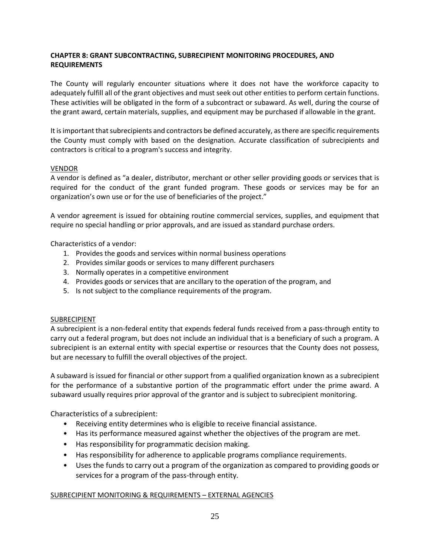# **CHAPTER 8: GRANT SUBCONTRACTING, SUBRECIPIENT MONITORING PROCEDURES, AND REQUIREMENTS**

The County will regularly encounter situations where it does not have the workforce capacity to adequately fulfill all of the grant objectives and must seek out other entities to perform certain functions. These activities will be obligated in the form of a subcontract or subaward. As well, during the course of the grant award, certain materials, supplies, and equipment may be purchased if allowable in the grant.

It is important that subrecipients and contractors be defined accurately, as there are specific requirements the County must comply with based on the designation. Accurate classification of subrecipients and contractors is critical to a program's success and integrity.

## VENDOR

A vendor is defined as "a dealer, distributor, merchant or other seller providing goods or services that is required for the conduct of the grant funded program. These goods or services may be for an organization's own use or for the use of beneficiaries of the project."

A vendor agreement is issued for obtaining routine commercial services, supplies, and equipment that require no special handling or prior approvals, and are issued as standard purchase orders.

Characteristics of a vendor:

- 1. Provides the goods and services within normal business operations
- 2. Provides similar goods or services to many different purchasers
- 3. Normally operates in a competitive environment
- 4. Provides goods or services that are ancillary to the operation of the program, and
- 5. Is not subject to the compliance requirements of the program.

## SUBRECIPIENT

A subrecipient is a non-federal entity that expends federal funds received from a pass-through entity to carry out a federal program, but does not include an individual that is a beneficiary of such a program. A subrecipient is an external entity with special expertise or resources that the County does not possess, but are necessary to fulfill the overall objectives of the project.

A subaward is issued for financial or other support from a qualified organization known as a subrecipient for the performance of a substantive portion of the programmatic effort under the prime award. A subaward usually requires prior approval of the grantor and is subject to subrecipient monitoring.

Characteristics of a subrecipient:

- Receiving entity determines who is eligible to receive financial assistance.
- Has its performance measured against whether the objectives of the program are met.
- Has responsibility for programmatic decision making.
- Has responsibility for adherence to applicable programs compliance requirements.
- Uses the funds to carry out a program of the organization as compared to providing goods or services for a program of the pass-through entity.

# SUBRECIPIENT MONITORING & REQUIREMENTS – EXTERNAL AGENCIES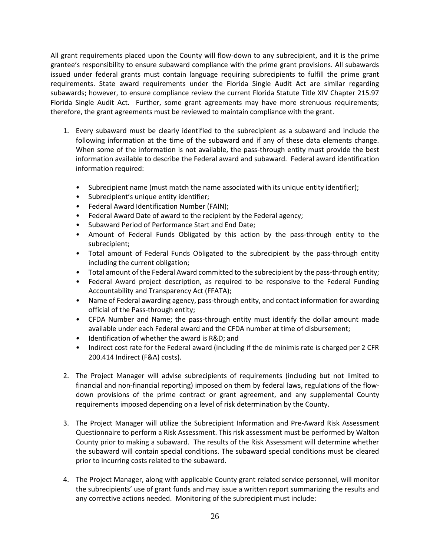All grant requirements placed upon the County will flow-down to any subrecipient, and it is the prime grantee's responsibility to ensure subaward compliance with the prime grant provisions. All subawards issued under federal grants must contain language requiring subrecipients to fulfill the prime grant requirements. State award requirements under the Florida Single Audit Act are similar regarding subawards; however, to ensure compliance review the current Florida Statute Title XIV Chapter 215.97 Florida Single Audit Act. Further, some grant agreements may have more strenuous requirements; therefore, the grant agreements must be reviewed to maintain compliance with the grant.

- 1. Every subaward must be clearly identified to the subrecipient as a subaward and include the following information at the time of the subaward and if any of these data elements change. When some of the information is not available, the pass-through entity must provide the best information available to describe the Federal award and subaward. Federal award identification information required:
	- Subrecipient name (must match the name associated with its unique entity identifier);
	- Subrecipient's unique entity identifier;
	- Federal Award Identification Number (FAIN);
	- Federal Award Date of award to the recipient by the Federal agency;
	- Subaward Period of Performance Start and End Date;
	- Amount of Federal Funds Obligated by this action by the pass-through entity to the subrecipient;
	- Total amount of Federal Funds Obligated to the subrecipient by the pass-through entity including the current obligation;
	- Total amount of the Federal Award committed to the subrecipient by the pass-through entity;
	- Federal Award project description, as required to be responsive to the Federal Funding Accountability and Transparency Act (FFATA);
	- Name of Federal awarding agency, pass-through entity, and contact information for awarding official of the Pass-through entity;
	- CFDA Number and Name; the pass-through entity must identify the dollar amount made available under each Federal award and the CFDA number at time of disbursement;
	- Identification of whether the award is R&D; and
	- Indirect cost rate for the Federal award (including if the de minimis rate is charged per 2 CFR 200.414 Indirect (F&A) costs).
- 2. The Project Manager will advise subrecipients of requirements (including but not limited to financial and non-financial reporting) imposed on them by federal laws, regulations of the flowdown provisions of the prime contract or grant agreement, and any supplemental County requirements imposed depending on a level of risk determination by the County.
- 3. The Project Manager will utilize the Subrecipient Information and Pre-Award Risk Assessment Questionnaire to perform a Risk Assessment. This risk assessment must be performed by Walton County prior to making a subaward. The results of the Risk Assessment will determine whether the subaward will contain special conditions. The subaward special conditions must be cleared prior to incurring costs related to the subaward.
- 4. The Project Manager, along with applicable County grant related service personnel, will monitor the subrecipients' use of grant funds and may issue a written report summarizing the results and any corrective actions needed. Monitoring of the subrecipient must include: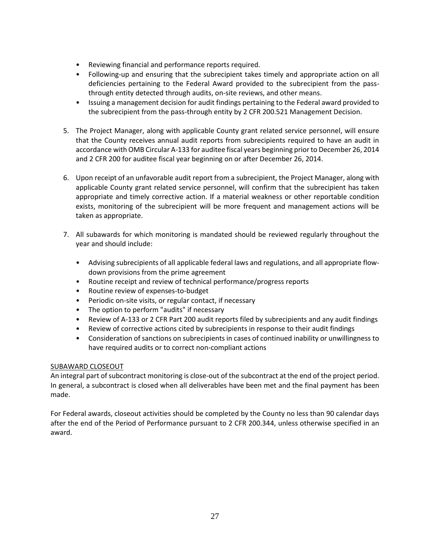- Reviewing financial and performance reports required.
- Following-up and ensuring that the subrecipient takes timely and appropriate action on all deficiencies pertaining to the Federal Award provided to the subrecipient from the passthrough entity detected through audits, on-site reviews, and other means.
- Issuing a management decision for audit findings pertaining to the Federal award provided to the subrecipient from the pass-through entity by 2 CFR 200.521 Management Decision.
- 5. The Project Manager, along with applicable County grant related service personnel, will ensure that the County receives annual audit reports from subrecipients required to have an audit in accordance with OMB Circular A-133 for auditee fiscal years beginning prior to December 26, 2014 and 2 CFR 200 for auditee fiscal year beginning on or after December 26, 2014.
- 6. Upon receipt of an unfavorable audit report from a subrecipient, the Project Manager, along with applicable County grant related service personnel, will confirm that the subrecipient has taken appropriate and timely corrective action. If a material weakness or other reportable condition exists, monitoring of the subrecipient will be more frequent and management actions will be taken as appropriate.
- 7. All subawards for which monitoring is mandated should be reviewed regularly throughout the year and should include:
	- Advising subrecipients of all applicable federal laws and regulations, and all appropriate flowdown provisions from the prime agreement
	- Routine receipt and review of technical performance/progress reports
	- Routine review of expenses-to-budget
	- Periodic on-site visits, or regular contact, if necessary
	- The option to perform "audits" if necessary
	- Review of A-133 or 2 CFR Part 200 audit reports filed by subrecipients and any audit findings
	- Review of corrective actions cited by subrecipients in response to their audit findings
	- Consideration of sanctions on subrecipients in cases of continued inability or unwillingness to have required audits or to correct non-compliant actions

## SUBAWARD CLOSEOUT

An integral part of subcontract monitoring is close-out of the subcontract at the end of the project period. In general, a subcontract is closed when all deliverables have been met and the final payment has been made.

For Federal awards, closeout activities should be completed by the County no less than 90 calendar days after the end of the Period of Performance pursuant to 2 CFR 200.344, unless otherwise specified in an award.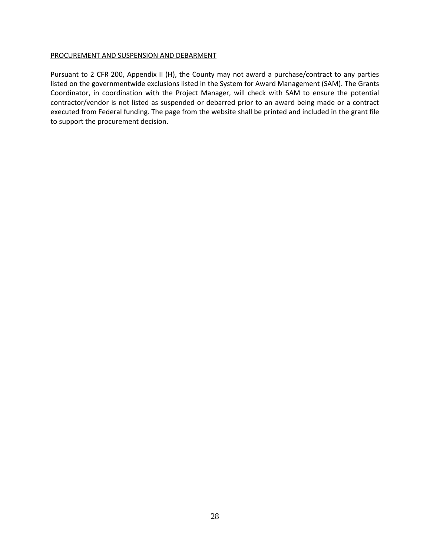#### PROCUREMENT AND SUSPENSION AND DEBARMENT

Pursuant to 2 CFR 200, Appendix II (H), the County may not award a purchase/contract to any parties listed on the governmentwide exclusions listed in the System for Award Management (SAM). The Grants Coordinator, in coordination with the Project Manager, will check with SAM to ensure the potential contractor/vendor is not listed as suspended or debarred prior to an award being made or a contract executed from Federal funding. The page from the website shall be printed and included in the grant file to support the procurement decision.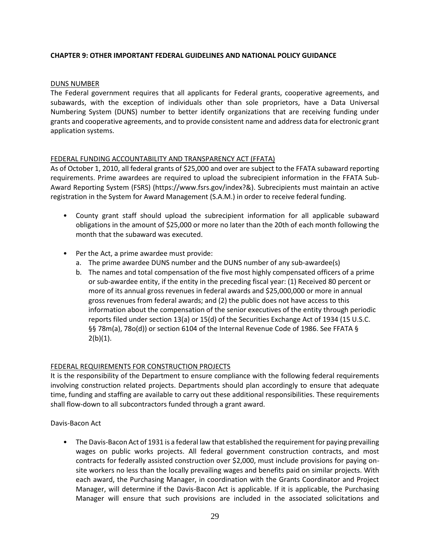# **CHAPTER 9: OTHER IMPORTANT FEDERAL GUIDELINES AND NATIONAL POLICY GUIDANCE**

## DUNS NUMBER

The Federal government requires that all applicants for Federal grants, cooperative agreements, and subawards, with the exception of individuals other than sole proprietors, have a Data Universal Numbering System (DUNS) number to better identify organizations that are receiving funding under grants and cooperative agreements, and to provide consistent name and address data for electronic grant application systems.

## FEDERAL FUNDING ACCOUNTABILITY AND TRANSPARENCY ACT (FFATA)

As of October 1, 2010, all federal grants of \$25,000 and over are subject to the FFATA subaward reporting requirements. Prime awardees are required to upload the subrecipient information in the FFATA Sub-Award Reporting System (FSRS) (https://www.fsrs.gov/index?&). Subrecipients must maintain an active registration in the System for Award Management (S.A.M.) in order to receive federal funding.

- County grant staff should upload the subrecipient information for all applicable subaward obligations in the amount of \$25,000 or more no later than the 20th of each month following the month that the subaward was executed.
- Per the Act, a prime awardee must provide:
	- a. The prime awardee DUNS number and the DUNS number of any sub-awardee(s)
	- b. The names and total compensation of the five most highly compensated officers of a prime or sub-awardee entity, if the entity in the preceding fiscal year: (1) Received 80 percent or more of its annual gross revenues in federal awards and \$25,000,000 or more in annual gross revenues from federal awards; and (2) the public does not have access to this information about the compensation of the senior executives of the entity through periodic reports filed under section 13(a) or 15(d) of the Securities Exchange Act of 1934 (15 U.S.C. §§ 78m(a), 78o(d)) or section 6104 of the Internal Revenue Code of 1986. See FFATA §  $2(b)(1)$ .

# FEDERAL REQUIREMENTS FOR CONSTRUCTION PROJECTS

It is the responsibility of the Department to ensure compliance with the following federal requirements involving construction related projects. Departments should plan accordingly to ensure that adequate time, funding and staffing are available to carry out these additional responsibilities. These requirements shall flow-down to all subcontractors funded through a grant award.

Davis-Bacon Act

• The Davis-Bacon Act of 1931 is a federal law that established the requirement for paying prevailing wages on public works projects. All federal government construction contracts, and most contracts for federally assisted construction over \$2,000, must include provisions for paying onsite workers no less than the locally prevailing wages and benefits paid on similar projects. With each award, the Purchasing Manager, in coordination with the Grants Coordinator and Project Manager, will determine if the Davis-Bacon Act is applicable. If it is applicable, the Purchasing Manager will ensure that such provisions are included in the associated solicitations and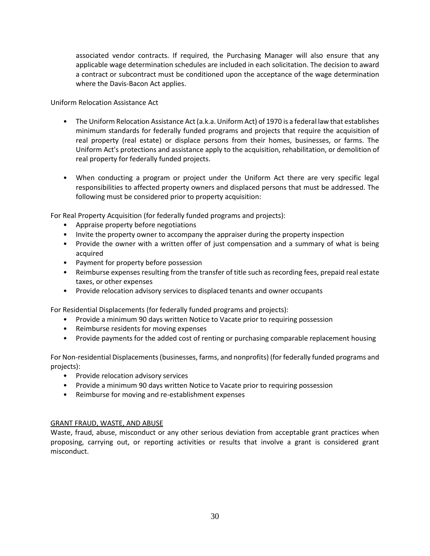associated vendor contracts. If required, the Purchasing Manager will also ensure that any applicable wage determination schedules are included in each solicitation. The decision to award a contract or subcontract must be conditioned upon the acceptance of the wage determination where the Davis-Bacon Act applies.

Uniform Relocation Assistance Act

- The Uniform Relocation Assistance Act (a.k.a. Uniform Act) of 1970 is a federal law that establishes minimum standards for federally funded programs and projects that require the acquisition of real property (real estate) or displace persons from their homes, businesses, or farms. The Uniform Act's protections and assistance apply to the acquisition, rehabilitation, or demolition of real property for federally funded projects.
- When conducting a program or project under the Uniform Act there are very specific legal responsibilities to affected property owners and displaced persons that must be addressed. The following must be considered prior to property acquisition:

For Real Property Acquisition (for federally funded programs and projects):

- Appraise property before negotiations
- Invite the property owner to accompany the appraiser during the property inspection
- Provide the owner with a written offer of just compensation and a summary of what is being acquired
- Payment for property before possession
- Reimburse expenses resulting from the transfer of title such as recording fees, prepaid real estate taxes, or other expenses
- Provide relocation advisory services to displaced tenants and owner occupants

For Residential Displacements (for federally funded programs and projects):

- Provide a minimum 90 days written Notice to Vacate prior to requiring possession
- Reimburse residents for moving expenses
- Provide payments for the added cost of renting or purchasing comparable replacement housing

For Non-residential Displacements (businesses, farms, and nonprofits) (for federally funded programs and projects):

- Provide relocation advisory services
- Provide a minimum 90 days written Notice to Vacate prior to requiring possession
- Reimburse for moving and re-establishment expenses

## GRANT FRAUD, WASTE, AND ABUSE

Waste, fraud, abuse, misconduct or any other serious deviation from acceptable grant practices when proposing, carrying out, or reporting activities or results that involve a grant is considered grant misconduct.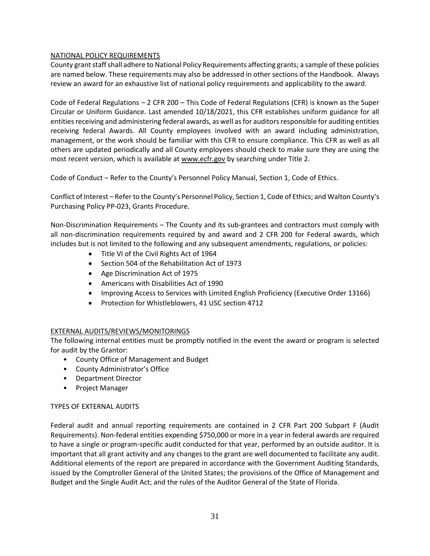# NATIONAL POLICY REQUIREMENTS

County grant staff shall adhere to National Policy Requirements affecting grants; a sample of these policies are named below. These requirements may also be addressed in other sections of the Handbook. Always review an award for an exhaustive list of national policy requirements and applicability to the award.

Code of Federal Regulations – 2 CFR 200 – This Code of Federal Regulations (CFR) is known as the Super Circular or Uniform Guidance. Last amended 10/18/2021, this CFR establishes uniform guidance for all entities receiving and administering federal awards, as well as for auditors responsible for auditing entities receiving federal Awards. All County employees involved with an award including administration, management, or the work should be familiar with this CFR to ensure compliance. This CFR as well as all others are updated periodically and all County employees should check to make sure they are using the most recent version, which is available at [www.ecfr.gov](http://www.ecfr.gov/) by searching under Title 2.

Code of Conduct – Refer to the County's Personnel Policy Manual, Section 1, Code of Ethics.

Conflict of Interest – Refer to the County's Personnel Policy, Section 1, Code of Ethics; and Walton County's Purchasing Policy PP-023, Grants Procedure.

Non-Discrimination Requirements – The County and its sub-grantees and contractors must comply with all non-discrimination requirements required by and award and 2 CFR 200 for Federal awards, which includes but is not limited to the following and any subsequent amendments, regulations, or policies:

- Title VI of the Civil Rights Act of 1964
- Section 504 of the Rehabilitation Act of 1973
- Age Discrimination Act of 1975
- Americans with Disabilities Act of 1990
- Improving Access to Services with Limited English Proficiency (Executive Order 13166)
- Protection for Whistleblowers, 41 USC section 4712

## EXTERNAL AUDITS/REVIEWS/MONITORINGS

The following internal entities must be promptly notified in the event the award or program is selected for audit by the Grantor:

- County Office of Management and Budget
- County Administrator's Office
- Department Director
- Project Manager

## TYPES OF EXTERNAL AUDITS

Federal audit and annual reporting requirements are contained in 2 CFR Part 200 Subpart F (Audit Requirements). Non-federal entities expending \$750,000 or more in a year in federal awards are required to have a single or program-specific audit conducted for that year, performed by an outside auditor. It is important that all grant activity and any changes to the grant are well documented to facilitate any audit. Additional elements of the report are prepared in accordance with the Government Auditing Standards, issued by the Comptroller General of the United States; the provisions of the Office of Management and Budget and the Single Audit Act; and the rules of the Auditor General of the State of Florida.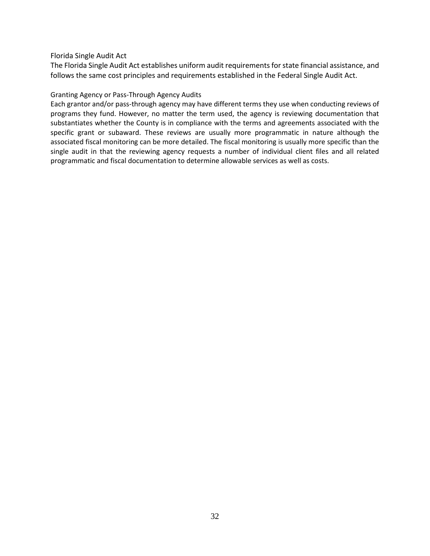## Florida Single Audit Act

The Florida Single Audit Act establishes uniform audit requirements for state financial assistance, and follows the same cost principles and requirements established in the Federal Single Audit Act.

# Granting Agency or Pass-Through Agency Audits

Each grantor and/or pass-through agency may have different terms they use when conducting reviews of programs they fund. However, no matter the term used, the agency is reviewing documentation that substantiates whether the County is in compliance with the terms and agreements associated with the specific grant or subaward. These reviews are usually more programmatic in nature although the associated fiscal monitoring can be more detailed. The fiscal monitoring is usually more specific than the single audit in that the reviewing agency requests a number of individual client files and all related programmatic and fiscal documentation to determine allowable services as well as costs.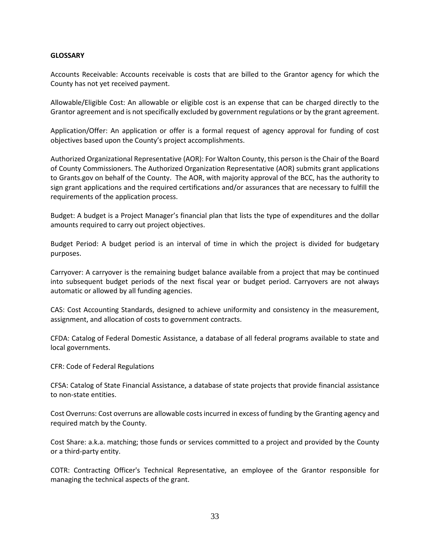#### **GLOSSARY**

Accounts Receivable: Accounts receivable is costs that are billed to the Grantor agency for which the County has not yet received payment.

Allowable/Eligible Cost: An allowable or eligible cost is an expense that can be charged directly to the Grantor agreement and is not specifically excluded by government regulations or by the grant agreement.

Application/Offer: An application or offer is a formal request of agency approval for funding of cost objectives based upon the County's project accomplishments.

Authorized Organizational Representative (AOR): For Walton County, this person is the Chair of the Board of County Commissioners. The Authorized Organization Representative (AOR) submits grant applications to Grants.gov on behalf of the County. The AOR, with majority approval of the BCC, has the authority to sign grant applications and the required certifications and/or assurances that are necessary to fulfill the requirements of the application process.

Budget: A budget is a Project Manager's financial plan that lists the type of expenditures and the dollar amounts required to carry out project objectives.

Budget Period: A budget period is an interval of time in which the project is divided for budgetary purposes.

Carryover: A carryover is the remaining budget balance available from a project that may be continued into subsequent budget periods of the next fiscal year or budget period. Carryovers are not always automatic or allowed by all funding agencies.

CAS: Cost Accounting Standards, designed to achieve uniformity and consistency in the measurement, assignment, and allocation of costs to government contracts.

CFDA: Catalog of Federal Domestic Assistance, a database of all federal programs available to state and local governments.

CFR: Code of Federal Regulations

CFSA: Catalog of State Financial Assistance, a database of state projects that provide financial assistance to non-state entities.

Cost Overruns: Cost overruns are allowable costs incurred in excess of funding by the Granting agency and required match by the County.

Cost Share: a.k.a. matching; those funds or services committed to a project and provided by the County or a third-party entity.

COTR: Contracting Officer's Technical Representative, an employee of the Grantor responsible for managing the technical aspects of the grant.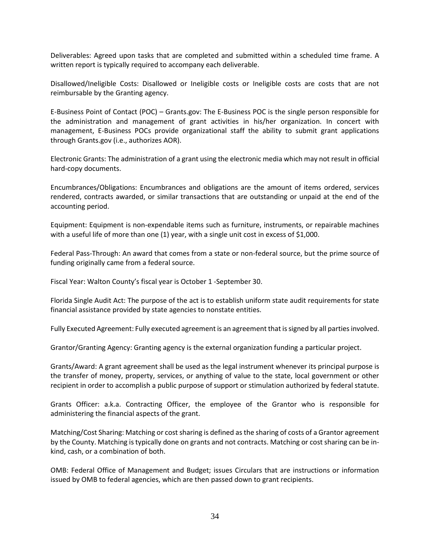Deliverables: Agreed upon tasks that are completed and submitted within a scheduled time frame. A written report is typically required to accompany each deliverable.

Disallowed/Ineligible Costs: Disallowed or Ineligible costs or Ineligible costs are costs that are not reimbursable by the Granting agency.

E-Business Point of Contact (POC) – Grants.gov: The E-Business POC is the single person responsible for the administration and management of grant activities in his/her organization. In concert with management, E-Business POCs provide organizational staff the ability to submit grant applications through Grants.gov (i.e., authorizes AOR).

Electronic Grants: The administration of a grant using the electronic media which may not result in official hard-copy documents.

Encumbrances/Obligations: Encumbrances and obligations are the amount of items ordered, services rendered, contracts awarded, or similar transactions that are outstanding or unpaid at the end of the accounting period.

Equipment: Equipment is non-expendable items such as furniture, instruments, or repairable machines with a useful life of more than one (1) year, with a single unit cost in excess of \$1,000.

Federal Pass-Through: An award that comes from a state or non-federal source, but the prime source of funding originally came from a federal source.

Fiscal Year: Walton County's fiscal year is October 1 -September 30.

Florida Single Audit Act: The purpose of the act is to establish uniform state audit requirements for state financial assistance provided by state agencies to nonstate entities.

Fully Executed Agreement: Fully executed agreement is an agreement that is signed by all parties involved.

Grantor/Granting Agency: Granting agency is the external organization funding a particular project.

Grants/Award: A grant agreement shall be used as the legal instrument whenever its principal purpose is the transfer of money, property, services, or anything of value to the state, local government or other recipient in order to accomplish a public purpose of support or stimulation authorized by federal statute.

Grants Officer: a.k.a. Contracting Officer, the employee of the Grantor who is responsible for administering the financial aspects of the grant.

Matching/Cost Sharing: Matching or cost sharing is defined as the sharing of costs of a Grantor agreement by the County. Matching is typically done on grants and not contracts. Matching or cost sharing can be inkind, cash, or a combination of both.

OMB: Federal Office of Management and Budget; issues Circulars that are instructions or information issued by OMB to federal agencies, which are then passed down to grant recipients.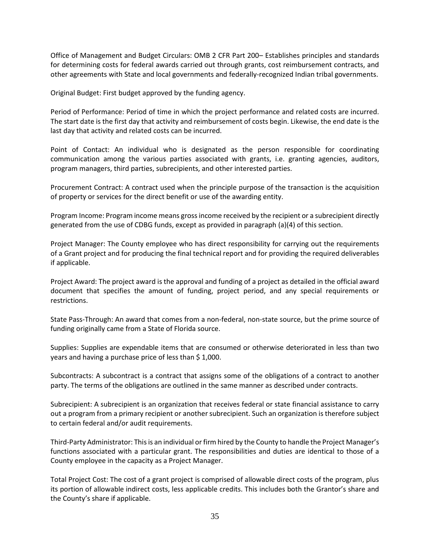Office of Management and Budget Circulars: OMB 2 CFR Part 200– Establishes principles and standards for determining costs for federal awards carried out through grants, cost reimbursement contracts, and other agreements with State and local governments and federally-recognized Indian tribal governments.

Original Budget: First budget approved by the funding agency.

Period of Performance: Period of time in which the project performance and related costs are incurred. The start date is the first day that activity and reimbursement of costs begin. Likewise, the end date is the last day that activity and related costs can be incurred.

Point of Contact: An individual who is designated as the person responsible for coordinating communication among the various parties associated with grants, i.e. granting agencies, auditors, program managers, third parties, subrecipients, and other interested parties.

Procurement Contract: A contract used when the principle purpose of the transaction is the acquisition of property or services for the direct benefit or use of the awarding entity.

Program Income: Program income means gross income received by the recipient or a subrecipient directly generated from the use of CDBG funds, except as provided in paragraph (a)(4) of this section.

Project Manager: The County employee who has direct responsibility for carrying out the requirements of a Grant project and for producing the final technical report and for providing the required deliverables if applicable.

Project Award: The project award is the approval and funding of a project as detailed in the official award document that specifies the amount of funding, project period, and any special requirements or restrictions.

State Pass-Through: An award that comes from a non-federal, non-state source, but the prime source of funding originally came from a State of Florida source.

Supplies: Supplies are expendable items that are consumed or otherwise deteriorated in less than two years and having a purchase price of less than \$ 1,000.

Subcontracts: A subcontract is a contract that assigns some of the obligations of a contract to another party. The terms of the obligations are outlined in the same manner as described under contracts.

Subrecipient: A subrecipient is an organization that receives federal or state financial assistance to carry out a program from a primary recipient or another subrecipient. Such an organization is therefore subject to certain federal and/or audit requirements.

Third-Party Administrator: This is an individual or firm hired by the County to handle the Project Manager's functions associated with a particular grant. The responsibilities and duties are identical to those of a County employee in the capacity as a Project Manager.

Total Project Cost: The cost of a grant project is comprised of allowable direct costs of the program, plus its portion of allowable indirect costs, less applicable credits. This includes both the Grantor's share and the County's share if applicable.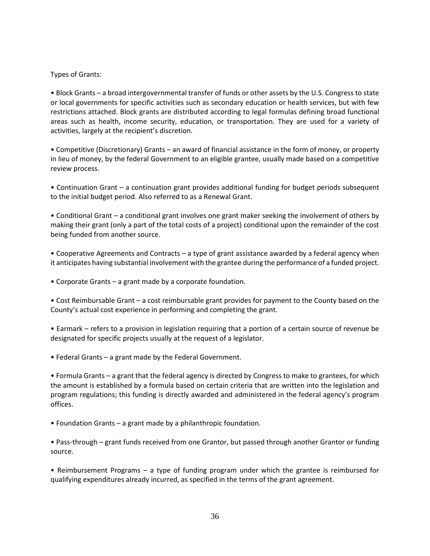# Types of Grants:

• Block Grants – a broad intergovernmental transfer of funds or other assets by the U.S. Congress to state or local governments for specific activities such as secondary education or health services, but with few restrictions attached. Block grants are distributed according to legal formulas defining broad functional areas such as health, income security, education, or transportation. They are used for a variety of activities, largely at the recipient's discretion.

• Competitive (Discretionary) Grants – an award of financial assistance in the form of money, or property in lieu of money, by the federal Government to an eligible grantee, usually made based on a competitive review process.

• Continuation Grant – a continuation grant provides additional funding for budget periods subsequent to the initial budget period. Also referred to as a Renewal Grant.

• Conditional Grant – a conditional grant involves one grant maker seeking the involvement of others by making their grant (only a part of the total costs of a project) conditional upon the remainder of the cost being funded from another source.

• Cooperative Agreements and Contracts – a type of grant assistance awarded by a federal agency when it anticipates having substantial involvement with the grantee during the performance of a funded project.

• Corporate Grants – a grant made by a corporate foundation.

• Cost Reimbursable Grant – a cost reimbursable grant provides for payment to the County based on the County's actual cost experience in performing and completing the grant.

• Earmark – refers to a provision in legislation requiring that a portion of a certain source of revenue be designated for specific projects usually at the request of a legislator.

• Federal Grants – a grant made by the Federal Government.

• Formula Grants – a grant that the federal agency is directed by Congress to make to grantees, for which the amount is established by a formula based on certain criteria that are written into the legislation and program regulations; this funding is directly awarded and administered in the federal agency's program offices.

• Foundation Grants – a grant made by a philanthropic foundation.

• Pass-through – grant funds received from one Grantor, but passed through another Grantor or funding source.

• Reimbursement Programs – a type of funding program under which the grantee is reimbursed for qualifying expenditures already incurred, as specified in the terms of the grant agreement.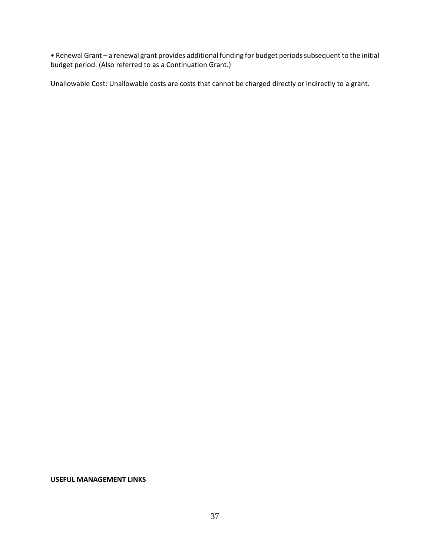• Renewal Grant – a renewal grant provides additional funding for budget periods subsequent to the initial budget period. (Also referred to as a Continuation Grant.)

Unallowable Cost: Unallowable costs are costs that cannot be charged directly or indirectly to a grant.

**USEFUL MANAGEMENT LINKS**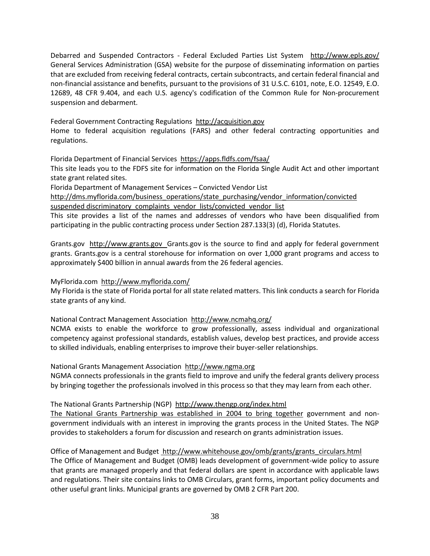Debarred and Suspended Contractors - Federal Excluded Parties List System http://www.epls.gov/ General Services Administration (GSA) website for the purpose of disseminating information on parties that are excluded from receiving federal contracts, certain subcontracts, and certain federal financial and non-financial assistance and benefits, pursuant to the provisions of 31 U.S.C. 6101, note, E.O. 12549, E.O. 12689, 48 CFR 9.404, and each U.S. agency's codification of the Common Rule for Non-procurement suspension and debarment.

Federal Government Contracting Regulations http://acquisition.gov Home to federal acquisition regulations (FARS) and other federal contracting opportunities and regulations.

Florida Department of Financial Services https://apps.fldfs.com/fsaa/

This site leads you to the FDFS site for information on the Florida Single Audit Act and other important state grant related sites.

Florida Department of Management Services – Convicted Vendor List

http://dms.myflorida.com/business\_operations/state\_purchasing/vendor\_information/convicted suspended discriminatory\_complaints\_vendor\_lists/convicted\_vendor\_list

This site provides a list of the names and addresses of vendors who have been disqualified from participating in the public contracting process under Section 287.133(3) (d), Florida Statutes.

Grants.gov http://www.grants.gov Grants.gov is the source to find and apply for federal government grants. Grants.gov is a central storehouse for information on over 1,000 grant programs and access to approximately \$400 billion in annual awards from the 26 federal agencies.

## MyFlorida.com http://www.myflorida.com/

My Florida is the state of Florida portal for all state related matters. This link conducts a search for Florida state grants of any kind.

National Contract Management Association http://www.ncmahq.org/

NCMA exists to enable the workforce to grow professionally, assess individual and organizational competency against professional standards, establish values, develop best practices, and provide access to skilled individuals, enabling enterprises to improve their buyer-seller relationships.

National Grants Management Association http://www.ngma.org

NGMA connects professionals in the grants field to improve and unify the federal grants delivery process by bringing together the professionals involved in this process so that they may learn from each other.

The National Grants Partnership (NGP) http://www.thengp.org/index.html

The National Grants Partnership was established in 2004 to bring together government and nongovernment individuals with an interest in improving the grants process in the United States. The NGP provides to stakeholders a forum for discussion and research on grants administration issues.

Office of Management and Budget http://www.whitehouse.gov/omb/grants/grants\_circulars.html The Office of Management and Budget (OMB) leads development of government-wide policy to assure that grants are managed properly and that federal dollars are spent in accordance with applicable laws and regulations. Their site contains links to OMB Circulars, grant forms, important policy documents and other useful grant links. Municipal grants are governed by OMB 2 CFR Part 200.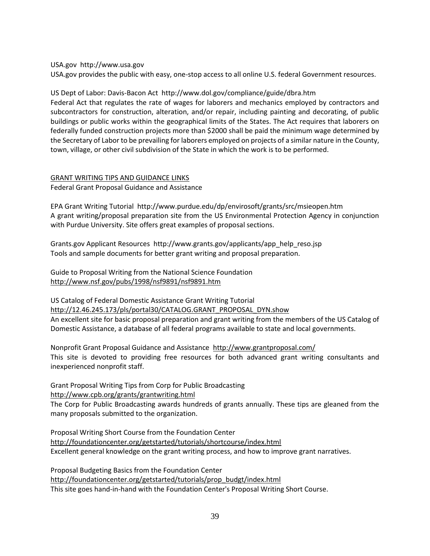#### USA.gov http://www.usa.gov

USA.gov provides the public with easy, one-stop access to all online U.S. federal Government resources.

#### US Dept of Labor: Davis-Bacon Act http://www.dol.gov/compliance/guide/dbra.htm

Federal Act that regulates the rate of wages for laborers and mechanics employed by contractors and subcontractors for construction, alteration, and/or repair, including painting and decorating, of public buildings or public works within the geographical limits of the States. The Act requires that laborers on federally funded construction projects more than \$2000 shall be paid the minimum wage determined by the Secretary of Labor to be prevailing for laborers employed on projects of a similar nature in the County, town, village, or other civil subdivision of the State in which the work is to be performed.

## GRANT WRITING TIPS AND GUIDANCE LINKS Federal Grant Proposal Guidance and Assistance

EPA Grant Writing Tutorial http://www.purdue.edu/dp/envirosoft/grants/src/msieopen.htm A grant writing/proposal preparation site from the US Environmental Protection Agency in conjunction with Purdue University. Site offers great examples of proposal sections.

Grants.gov Applicant Resources http://www.grants.gov/applicants/app\_help\_reso.jsp Tools and sample documents for better grant writing and proposal preparation.

Guide to Proposal Writing from the National Science Foundation http://www.nsf.gov/pubs/1998/nsf9891/nsf9891.htm

US Catalog of Federal Domestic Assistance Grant Writing Tutorial http://12.46.245.173/pls/portal30/CATALOG.GRANT\_PROPOSAL\_DYN.show An excellent site for basic proposal preparation and grant writing from the members of the US Catalog of Domestic Assistance, a database of all federal programs available to state and local governments.

Nonprofit Grant Proposal Guidance and Assistance http://www.grantproposal.com/ This site is devoted to providing free resources for both advanced grant writing consultants and inexperienced nonprofit staff.

Grant Proposal Writing Tips from Corp for Public Broadcasting http://www.cpb.org/grants/grantwriting.html

The Corp for Public Broadcasting awards hundreds of grants annually. These tips are gleaned from the many proposals submitted to the organization.

Proposal Writing Short Course from the Foundation Center http://foundationcenter.org/getstarted/tutorials/shortcourse/index.html Excellent general knowledge on the grant writing process, and how to improve grant narratives.

Proposal Budgeting Basics from the Foundation Center http://foundationcenter.org/getstarted/tutorials/prop\_budgt/index.html This site goes hand-in-hand with the Foundation Center's Proposal Writing Short Course.